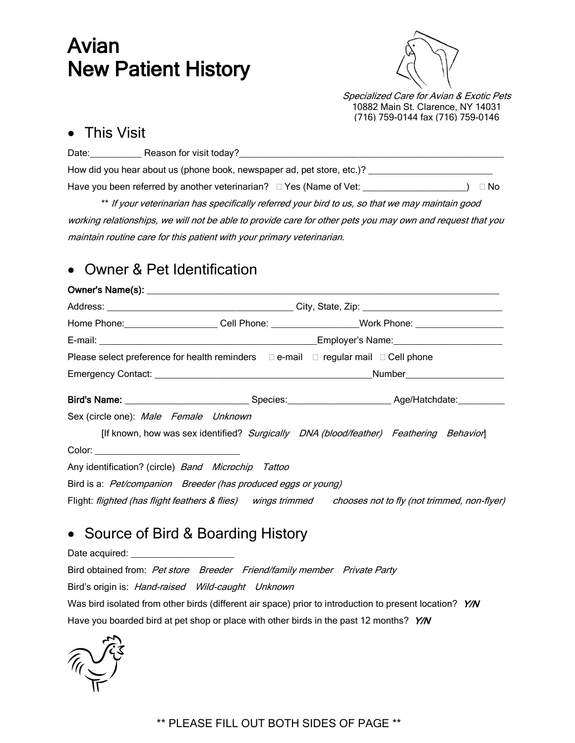# Avian New Patient History



Specialized Care for Avian & Exotic Pets 10882 Main St. Clarence, NY 14031 (716) 759-0144 fax (716) 759-0146

### This Visit

| Date: | Reason for visit today?                                                |      |
|-------|------------------------------------------------------------------------|------|
|       | How did you hear about us (phone book, newspaper ad, pet store, etc.)? |      |
|       |                                                                        | ⊟ No |

\*\* If your veterinarian has specifically referred your bird to us, so that we may maintain good working relationships, we will not be able to provide care for other pets you may own and request that you maintain routine care for this patient with your primary veterinarian.

# Owner & Pet Identification

| Home Phone: ______________________Cell Phone: ___________________Work Phone: _______________________     |                                                                                        |  |  |  |  |
|----------------------------------------------------------------------------------------------------------|----------------------------------------------------------------------------------------|--|--|--|--|
|                                                                                                          |                                                                                        |  |  |  |  |
| Please select preference for health reminders $\Box$ e-mail $\Box$ regular mail $\Box$ Cell phone        |                                                                                        |  |  |  |  |
|                                                                                                          |                                                                                        |  |  |  |  |
|                                                                                                          |                                                                                        |  |  |  |  |
| Sex (circle one): Male Female Unknown                                                                    |                                                                                        |  |  |  |  |
|                                                                                                          | [If known, how was sex identified? Surgically DNA (blood/feather) Feathering Behavior] |  |  |  |  |
| Color: ___________________________________                                                               |                                                                                        |  |  |  |  |
| Any identification? (circle) Band Microchip Tattoo                                                       |                                                                                        |  |  |  |  |
| Bird is a: Pet/companion Breeder (has produced eggs or young)                                            |                                                                                        |  |  |  |  |
| Flight: flighted (has flight feathers & flies) wings trimmed chooses not to fly (not trimmed, non-flyer) |                                                                                        |  |  |  |  |

# • Source of Bird & Boarding History

Date acquired:

Bird obtained from: Pet store Breeder Friend/family member Private Party Bird's origin is: Hand-raised Wild-caught Unknown Was bird isolated from other birds (different air space) prior to introduction to present location? Y/N Have you boarded bird at pet shop or place with other birds in the past 12 months? Y/N